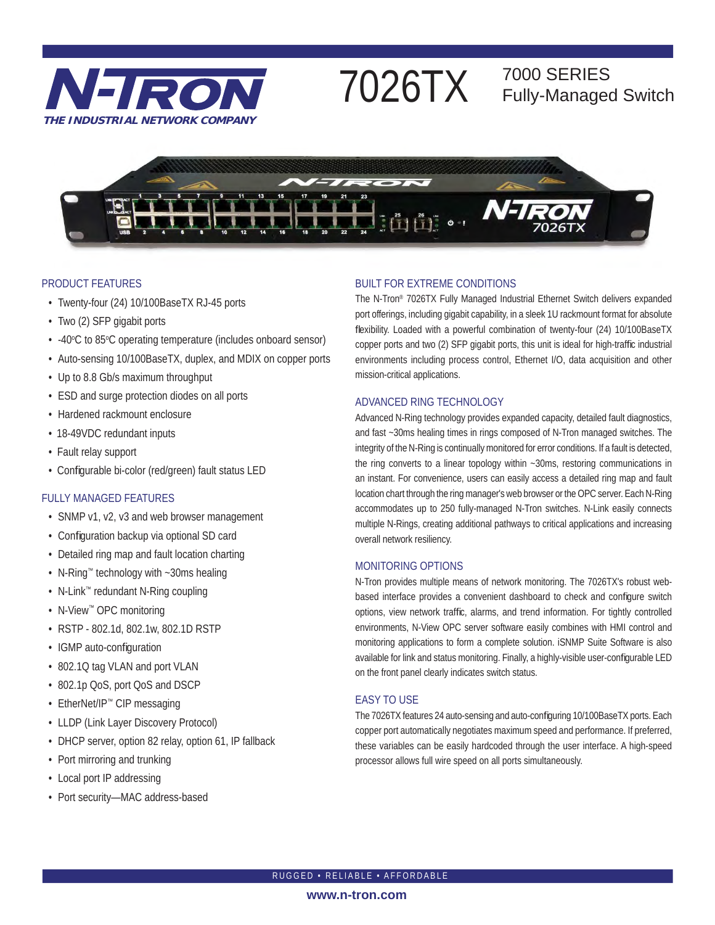

# 7026TX 7000 SERIES

## Fully-Managed Switch



### PRODUCT FEATURES

- Twenty-four (24) 10/100BaseTX RJ-45 ports
- Two (2) SFP gigabit ports
- -40°C to 85°C operating temperature (includes onboard sensor)
- Auto-sensing 10/100BaseTX, duplex, and MDIX on copper ports
- Up to 8.8 Gb/s maximum throughput
- ESD and surge protection diodes on all ports
- Hardened rackmount enclosure
- 18-49VDC redundant inputs
- Fault relay support
- Configurable bi-color (red/green) fault status LED

## FULLY MANAGED FEATURES

- SNMP v1, v2, v3 and web browser management
- Configuration backup via optional SD card
- Detailed ring map and fault location charting
- N-Ring™ technology with ~30ms healing
- N-Link™ redundant N-Ring coupling
- N-View™ OPC monitoring
- RSTP 802.1d, 802.1w, 802.1D RSTP
- IGMP auto-configuration
- 802.1Q tag VLAN and port VLAN
- 802.1p QoS, port QoS and DSCP
- EtherNet/IP™ CIP messaging
- LLDP (Link Layer Discovery Protocol)
- DHCP server, option 82 relay, option 61, IP fallback
- Port mirroring and trunking
- Local port IP addressing
- Port security—MAC address-based

## BUILT FOR EXTREME CONDITIONS

The N-Tron® 7026TX Fully Managed Industrial Ethernet Switch delivers expanded port offerings, including gigabit capability, in a sleek 1U rackmount format for absolute flexibility. Loaded with a powerful combination of twenty-four (24) 10/100BaseTX copper ports and two (2) SFP gigabit ports, this unit is ideal for high-traffic industrial environments including process control, Ethernet I/O, data acquisition and other mission-critical applications.

### ADVANCED RING TECHNOLOGY

Advanced N-Ring technology provides expanded capacity, detailed fault diagnostics, and fast ~30ms healing times in rings composed of N-Tron managed switches. The integrity of the N-Ring is continually monitored for error conditions. If a fault is detected, the ring converts to a linear topology within ~30ms, restoring communications in an instant. For convenience, users can easily access a detailed ring map and fault location chart through the ring manager's web browser or the OPC server. Each N-Ring accommodates up to 250 fully-managed N-Tron switches. N-Link easily connects multiple N-Rings, creating additional pathways to critical applications and increasing overall network resiliency.

## MONITORING OPTIONS

N-Tron provides multiple means of network monitoring. The 7026TX's robust webbased interface provides a convenient dashboard to check and configure switch options, view network traffic, alarms, and trend information. For tightly controlled environments, N-View OPC server software easily combines with HMI control and monitoring applications to form a complete solution. iSNMP Suite Software is also available for link and status monitoring. Finally, a highly-visible user-configurable LED on the front panel clearly indicates switch status.

## EASY TO USE

The 7026TX features 24 auto-sensing and auto-configuring 10/100BaseTX ports. Each copper port automatically negotiates maximum speed and performance. If preferred, these variables can be easily hardcoded through the user interface. A high-speed processor allows full wire speed on all ports simultaneously.

RUGGED • RELIABLE • AFFORDABLE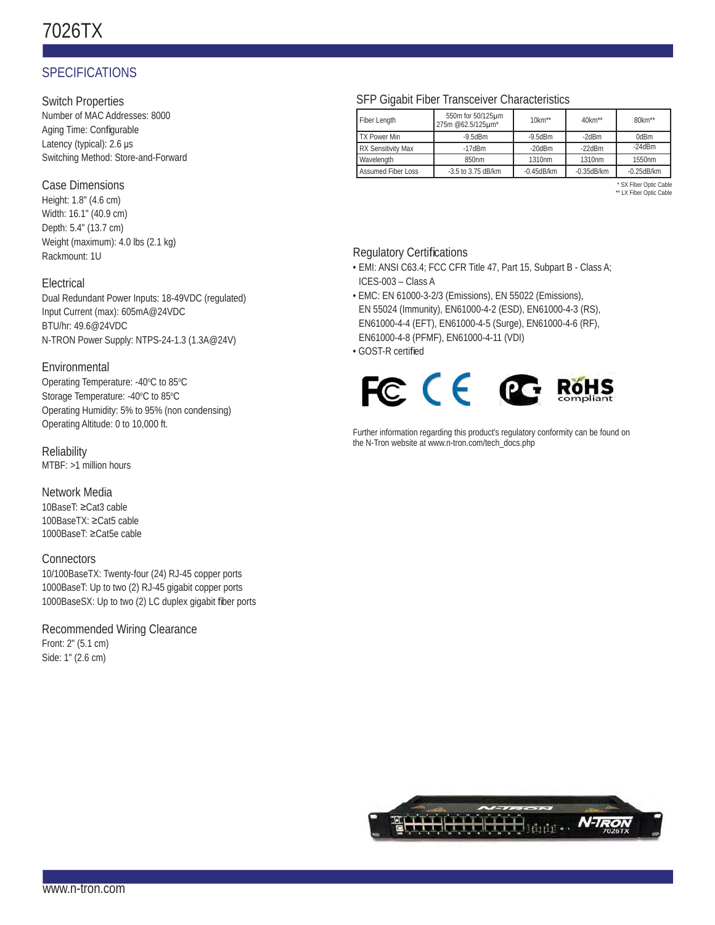## 7026TX

## SPECIFICATIONS

Switch Properties

Number of MAC Addresses: 8000 Aging Time: Configurable Latency (typical): 2.6 μs Switching Method: Store-and-Forward

## Case Dimensions

Height: 1.8" (4.6 cm) Width: 16.1" (40.9 cm) Depth: 5.4" (13.7 cm) Weight (maximum): 4.0 lbs (2.1 kg) Rackmount: 1U

## **Electrical**

Dual Redundant Power Inputs: 18-49VDC (regulated) Input Current (max): 605mA@24VDC BTU/hr: 49.6@24VDC N-TRON Power Supply: NTPS-24-1.3 (1.3A@24V)

## Environmental

Operating Temperature: -40°C to 85°C Storage Temperature: -40°C to 85°C Operating Humidity: 5% to 95% (non condensing) Operating Altitude: 0 to 10,000 ft.

**Reliability** MTBF: >1 million hours

Network Media 10BaseT: ≥Cat3 cable 100BaseTX: ≥Cat5 cable 1000BaseT: ≥Cat5e cable

### **Connectors**

10/100BaseTX: Twenty-four (24) RJ-45 copper ports 1000BaseT: Up to two (2) RJ-45 gigabit copper ports 1000BaseSX: Up to two (2) LC duplex gigabit fiber ports

## Recommended Wiring Clearance Front: 2" (5.1 cm)

Side: 1" (2.6 cm)

## SFP Gigabit Fiber Transceiver Characteristics

| Fiber Length              | 550m for 50/125um<br>275m @62.5/125µm* | $10km**$         | 40km**            | 80km**           |
|---------------------------|----------------------------------------|------------------|-------------------|------------------|
| <b>TX Power Min</b>       | $-9.5d$ Bm                             | $-9.5$ d $Bm$    | $-2d$ Bm          | 0dBm             |
| <b>RX Sensitivity Max</b> | $-17$ d $Bm$                           | $-20$ d $Bm$     | $-22$ d $Bm$      | $-24$ d $Bm$     |
| Wavelength                | 850nm                                  | 1310nm           | 1310nm            | 1550nm           |
| <b>Assumed Fiber Loss</b> | $-3.5$ to 3.75 dB/km                   | $-0.45$ d $B/km$ | $-0.35$ d $B$ /km | $-0.25$ d $B/km$ |

\* SX Fiber Optic Cable \*\* LX Fiber Optic Cable

## **Regulatory Certifications**

- EMI: ANSI C63.4; FCC CFR Title 47, Part 15, Subpart B Class A; ICES-003 – Class A
- EMC: EN 61000-3-2/3 (Emissions), EN 55022 (Emissions), EN 55024 (Immunity), EN61000-4-2 (ESD), EN61000-4-3 (RS), EN61000-4-4 (EFT), EN61000-4-5 (Surge), EN61000-4-6 (RF), EN61000-4-8 (PFMF), EN61000-4-11 (VDI)
- GOST-R certified



Further information regarding this product's regulatory conformity can be found on the N-Tron website at www.n-tron.com/tech\_docs.php

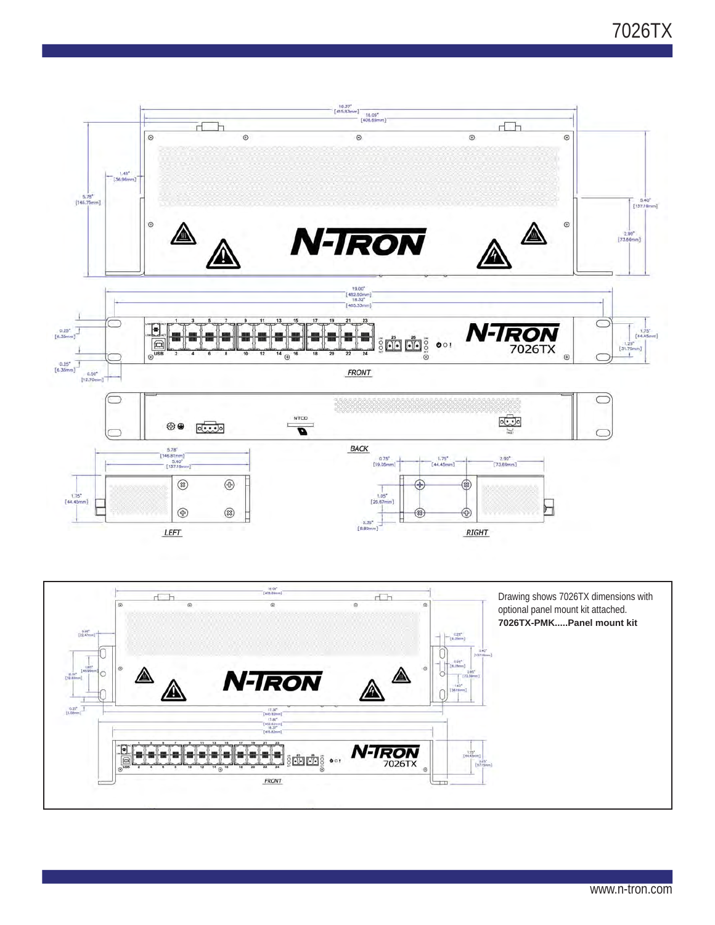7026TX